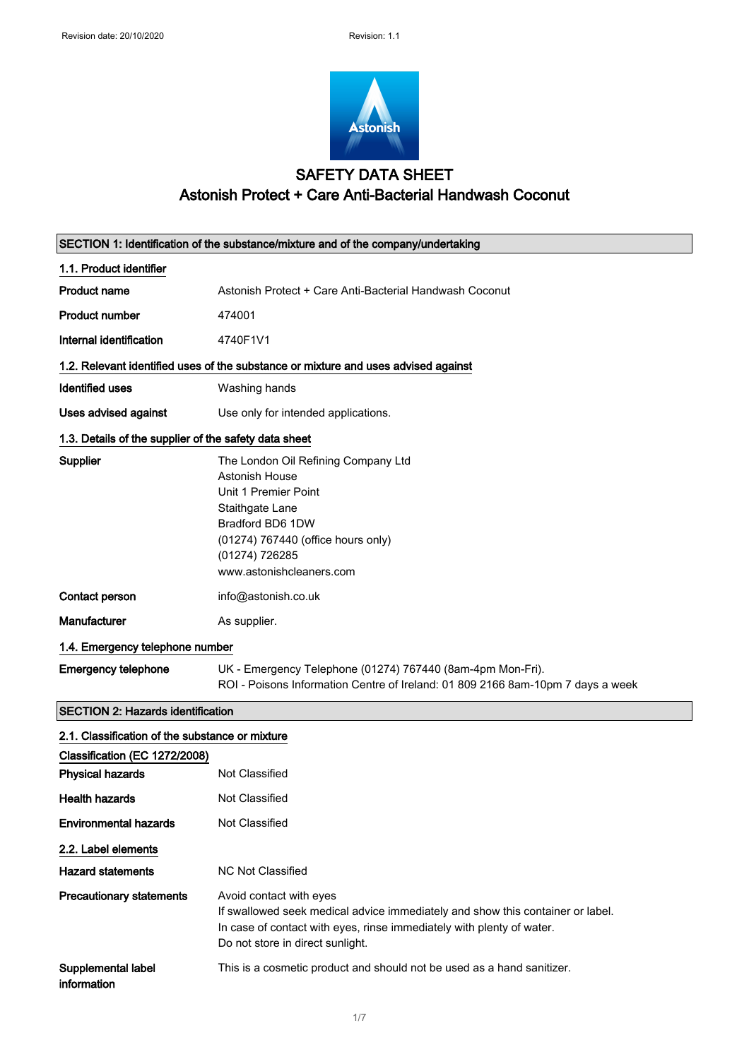

# SAFETY DATA SHEET Astonish Protect + Care Anti-Bacterial Handwash Coconut

| SECTION 1: Identification of the substance/mixture and of the company/undertaking  |                                                                                                                                                                                                                        |  |
|------------------------------------------------------------------------------------|------------------------------------------------------------------------------------------------------------------------------------------------------------------------------------------------------------------------|--|
| 1.1. Product identifier                                                            |                                                                                                                                                                                                                        |  |
| <b>Product name</b>                                                                | Astonish Protect + Care Anti-Bacterial Handwash Coconut                                                                                                                                                                |  |
| <b>Product number</b>                                                              | 474001                                                                                                                                                                                                                 |  |
| Internal identification                                                            | 4740F1V1                                                                                                                                                                                                               |  |
| 1.2. Relevant identified uses of the substance or mixture and uses advised against |                                                                                                                                                                                                                        |  |
| <b>Identified uses</b>                                                             | Washing hands                                                                                                                                                                                                          |  |
| Uses advised against                                                               | Use only for intended applications.                                                                                                                                                                                    |  |
| 1.3. Details of the supplier of the safety data sheet                              |                                                                                                                                                                                                                        |  |
| Supplier                                                                           | The London Oil Refining Company Ltd<br><b>Astonish House</b><br>Unit 1 Premier Point<br>Staithgate Lane<br>Bradford BD6 1DW<br>(01274) 767440 (office hours only)<br>(01274) 726285<br>www.astonishcleaners.com        |  |
| Contact person                                                                     | info@astonish.co.uk                                                                                                                                                                                                    |  |
| <b>Manufacturer</b>                                                                | As supplier.                                                                                                                                                                                                           |  |
| 1.4. Emergency telephone number                                                    |                                                                                                                                                                                                                        |  |
| <b>Emergency telephone</b>                                                         | UK - Emergency Telephone (01274) 767440 (8am-4pm Mon-Fri).<br>ROI - Poisons Information Centre of Ireland: 01 809 2166 8am-10pm 7 days a week                                                                          |  |
| <b>SECTION 2: Hazards identification</b>                                           |                                                                                                                                                                                                                        |  |
| 2.1. Classification of the substance or mixture                                    |                                                                                                                                                                                                                        |  |
| Classification (EC 1272/2008)                                                      |                                                                                                                                                                                                                        |  |
| <b>Physical hazards</b>                                                            | Not Classified                                                                                                                                                                                                         |  |
| <b>Health hazards</b>                                                              | Not Classified                                                                                                                                                                                                         |  |
| <b>Environmental hazards</b>                                                       | Not Classified                                                                                                                                                                                                         |  |
| 2.2. Label elements                                                                |                                                                                                                                                                                                                        |  |
| <b>Hazard statements</b>                                                           | <b>NC Not Classified</b>                                                                                                                                                                                               |  |
| <b>Precautionary statements</b>                                                    | Avoid contact with eyes<br>If swallowed seek medical advice immediately and show this container or label.<br>In case of contact with eyes, rinse immediately with plenty of water.<br>Do not store in direct sunlight. |  |
| Supplemental label<br>information                                                  | This is a cosmetic product and should not be used as a hand sanitizer.                                                                                                                                                 |  |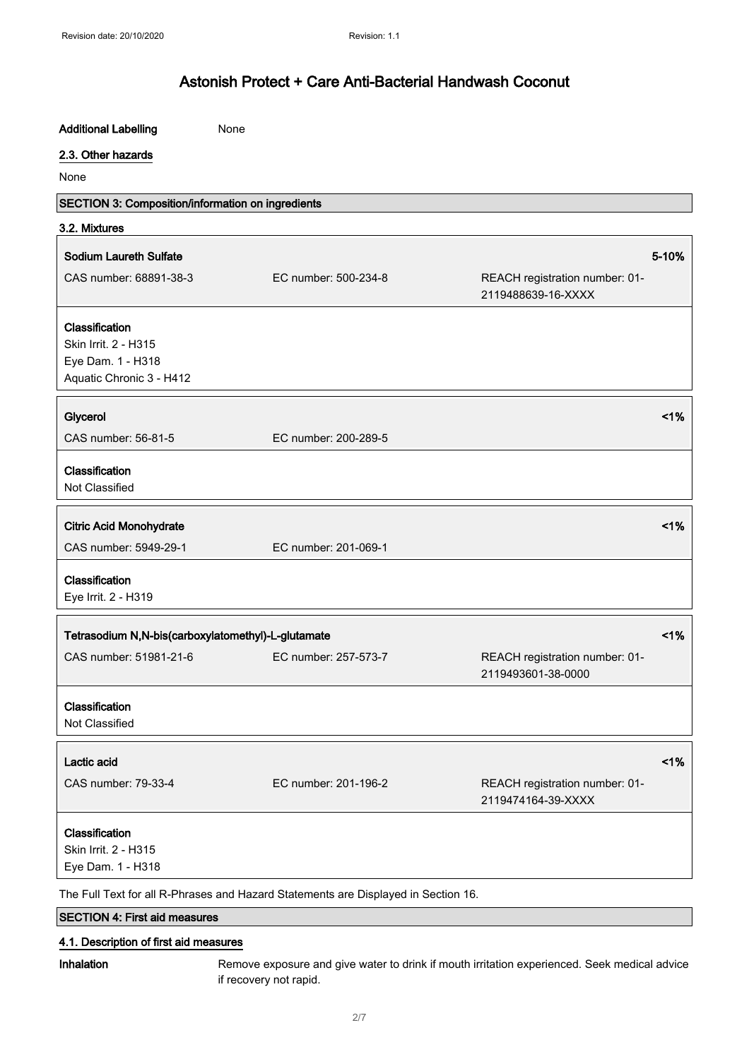| <b>Additional Labelling</b>                        | None                                                                               |                                                      |        |
|----------------------------------------------------|------------------------------------------------------------------------------------|------------------------------------------------------|--------|
| 2.3. Other hazards                                 |                                                                                    |                                                      |        |
| None                                               |                                                                                    |                                                      |        |
| SECTION 3: Composition/information on ingredients  |                                                                                    |                                                      |        |
| 3.2. Mixtures                                      |                                                                                    |                                                      |        |
| <b>Sodium Laureth Sulfate</b>                      |                                                                                    |                                                      | 5-10%  |
| CAS number: 68891-38-3                             | EC number: 500-234-8                                                               | REACH registration number: 01-                       |        |
|                                                    |                                                                                    | 2119488639-16-XXXX                                   |        |
| Classification                                     |                                                                                    |                                                      |        |
| Skin Irrit. 2 - H315                               |                                                                                    |                                                      |        |
| Eye Dam. 1 - H318                                  |                                                                                    |                                                      |        |
| Aquatic Chronic 3 - H412                           |                                                                                    |                                                      |        |
| Glycerol                                           |                                                                                    |                                                      | $<$ 1% |
| CAS number: 56-81-5                                | EC number: 200-289-5                                                               |                                                      |        |
| Classification<br>Not Classified                   |                                                                                    |                                                      |        |
| <b>Citric Acid Monohydrate</b>                     |                                                                                    |                                                      | 1%     |
| CAS number: 5949-29-1                              | EC number: 201-069-1                                                               |                                                      |        |
| Classification                                     |                                                                                    |                                                      |        |
| Eye Irrit. 2 - H319                                |                                                                                    |                                                      |        |
| Tetrasodium N,N-bis(carboxylatomethyl)-L-glutamate |                                                                                    |                                                      | 1%     |
| CAS number: 51981-21-6                             | EC number: 257-573-7                                                               | REACH registration number: 01-                       |        |
|                                                    |                                                                                    | 2119493601-38-0000                                   |        |
| Classification<br>Not Classified                   |                                                                                    |                                                      |        |
| Lactic acid                                        |                                                                                    |                                                      | 1%     |
| CAS number: 79-33-4                                | EC number: 201-196-2                                                               | REACH registration number: 01-<br>2119474164-39-XXXX |        |
| Classification                                     |                                                                                    |                                                      |        |
| Skin Irrit. 2 - H315                               |                                                                                    |                                                      |        |
| Eye Dam. 1 - H318                                  |                                                                                    |                                                      |        |
|                                                    | The Full Text for all R-Phrases and Hazard Statements are Displayed in Section 16. |                                                      |        |
| <b>SECTION 4: First aid measures</b>               |                                                                                    |                                                      |        |

#### 4.1. Description of first aid measures

Inhalation Remove exposure and give water to drink if mouth irritation experienced. Seek medical advice if recovery not rapid.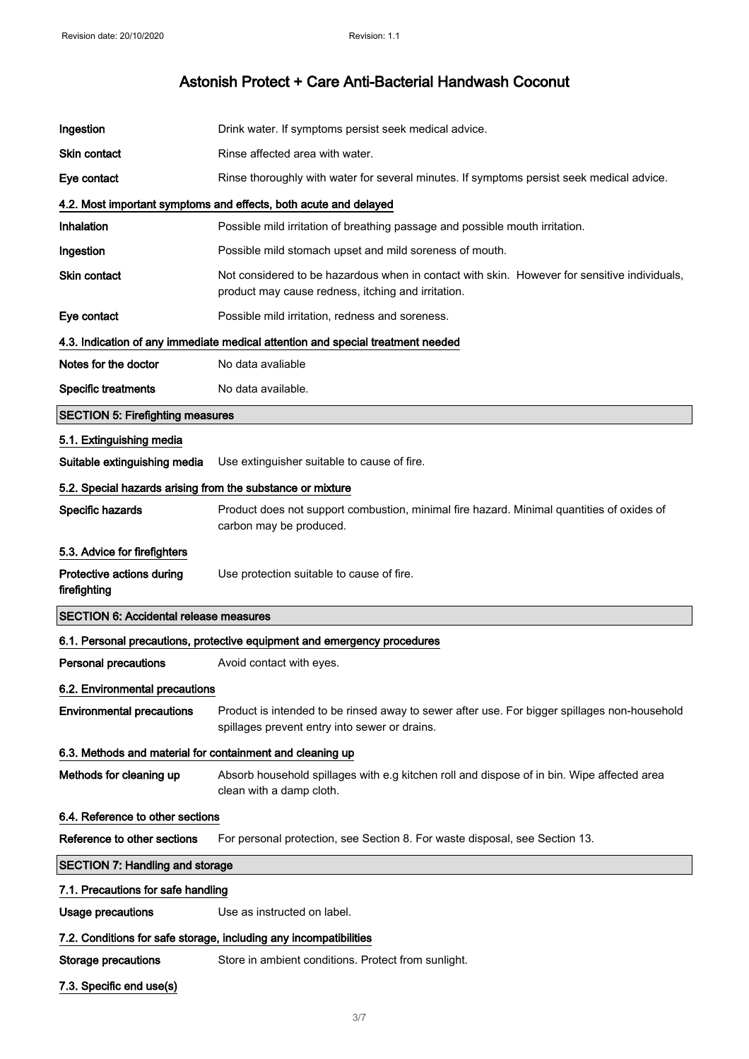| Ingestion                                                  | Drink water. If symptoms persist seek medical advice.                                                                                              |  |
|------------------------------------------------------------|----------------------------------------------------------------------------------------------------------------------------------------------------|--|
| <b>Skin contact</b>                                        | Rinse affected area with water.                                                                                                                    |  |
| Eye contact                                                | Rinse thoroughly with water for several minutes. If symptoms persist seek medical advice.                                                          |  |
|                                                            | 4.2. Most important symptoms and effects, both acute and delayed                                                                                   |  |
| Inhalation                                                 | Possible mild irritation of breathing passage and possible mouth irritation.                                                                       |  |
| Ingestion                                                  | Possible mild stomach upset and mild soreness of mouth.                                                                                            |  |
| <b>Skin contact</b>                                        | Not considered to be hazardous when in contact with skin. However for sensitive individuals.<br>product may cause redness, itching and irritation. |  |
| Eye contact                                                | Possible mild irritation, redness and soreness.                                                                                                    |  |
|                                                            | 4.3. Indication of any immediate medical attention and special treatment needed                                                                    |  |
| Notes for the doctor                                       | No data avaliable                                                                                                                                  |  |
| <b>Specific treatments</b>                                 | No data available.                                                                                                                                 |  |
| <b>SECTION 5: Firefighting measures</b>                    |                                                                                                                                                    |  |
| 5.1. Extinguishing media                                   |                                                                                                                                                    |  |
| Suitable extinguishing media                               | Use extinguisher suitable to cause of fire.                                                                                                        |  |
| 5.2. Special hazards arising from the substance or mixture |                                                                                                                                                    |  |
| Specific hazards                                           | Product does not support combustion, minimal fire hazard. Minimal quantities of oxides of<br>carbon may be produced.                               |  |
| 5.3. Advice for firefighters                               |                                                                                                                                                    |  |
| Protective actions during<br>firefighting                  | Use protection suitable to cause of fire.                                                                                                          |  |
| <b>SECTION 6: Accidental release measures</b>              |                                                                                                                                                    |  |
|                                                            | 6.1. Personal precautions, protective equipment and emergency procedures                                                                           |  |
| <b>Personal precautions</b>                                | Avoid contact with eyes.                                                                                                                           |  |
| 6.2. Environmental precautions                             |                                                                                                                                                    |  |
| <b>Environmental precautions</b>                           | Product is intended to be rinsed away to sewer after use. For bigger spillages non-household<br>spillages prevent entry into sewer or drains.      |  |
| 6.3. Methods and material for containment and cleaning up  |                                                                                                                                                    |  |
| Methods for cleaning up                                    | Absorb household spillages with e.g kitchen roll and dispose of in bin. Wipe affected area<br>clean with a damp cloth.                             |  |
|                                                            | 6.4. Reference to other sections                                                                                                                   |  |
|                                                            |                                                                                                                                                    |  |
| Reference to other sections                                | For personal protection, see Section 8. For waste disposal, see Section 13.                                                                        |  |
| <b>SECTION 7: Handling and storage</b>                     |                                                                                                                                                    |  |
| 7.1. Precautions for safe handling                         |                                                                                                                                                    |  |
| Usage precautions                                          | Use as instructed on label.                                                                                                                        |  |
|                                                            | 7.2. Conditions for safe storage, including any incompatibilities                                                                                  |  |
| <b>Storage precautions</b>                                 | Store in ambient conditions. Protect from sunlight.                                                                                                |  |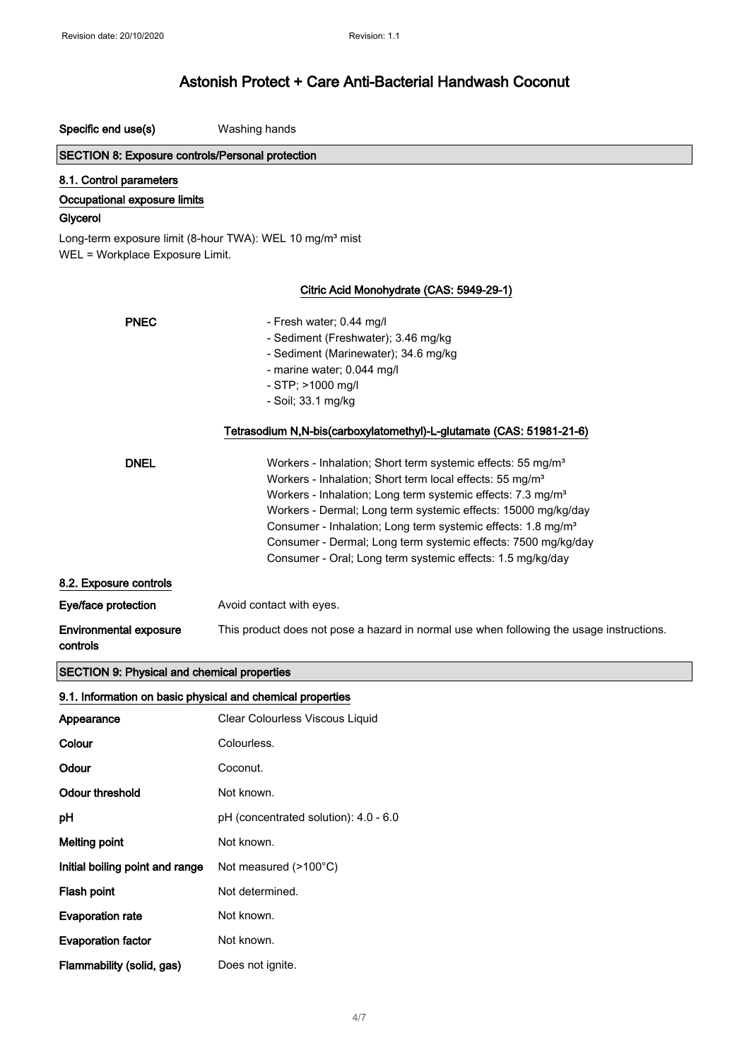Specific end use(s) Washing hands

Melting point **Not known**.

Evaporation rate Mot known.

Evaporation factor **Not known**.

Flash point Not determined.

Flammability (solid, gas) Does not ignite.

Initial boiling point and range Not measured (>100°C)

## Astonish Protect + Care Anti-Bacterial Handwash Coconut

| <b>SECTION 8: Exposure controls/Personal protection</b>                                                 |                                                                                          |  |  |
|---------------------------------------------------------------------------------------------------------|------------------------------------------------------------------------------------------|--|--|
| 8.1. Control parameters                                                                                 |                                                                                          |  |  |
| Occupational exposure limits                                                                            |                                                                                          |  |  |
| Glycerol                                                                                                |                                                                                          |  |  |
| Long-term exposure limit (8-hour TWA): WEL 10 mg/m <sup>3</sup> mist<br>WEL = Workplace Exposure Limit. |                                                                                          |  |  |
|                                                                                                         |                                                                                          |  |  |
|                                                                                                         | Citric Acid Monohydrate (CAS: 5949-29-1)                                                 |  |  |
| <b>PNEC</b>                                                                                             | - Fresh water; 0.44 mg/l                                                                 |  |  |
|                                                                                                         | - Sediment (Freshwater); 3.46 mg/kg                                                      |  |  |
|                                                                                                         | - Sediment (Marinewater); 34.6 mg/kg                                                     |  |  |
|                                                                                                         | - marine water; 0.044 mg/l                                                               |  |  |
|                                                                                                         | - STP; >1000 mg/l                                                                        |  |  |
|                                                                                                         | - Soil; 33.1 mg/kg                                                                       |  |  |
| Tetrasodium N,N-bis(carboxylatomethyl)-L-glutamate (CAS: 51981-21-6)                                    |                                                                                          |  |  |
| <b>DNEL</b>                                                                                             | Workers - Inhalation; Short term systemic effects: 55 mg/m <sup>3</sup>                  |  |  |
|                                                                                                         | Workers - Inhalation; Short term local effects: 55 mg/m <sup>3</sup>                     |  |  |
|                                                                                                         | Workers - Inhalation; Long term systemic effects: 7.3 mg/m <sup>3</sup>                  |  |  |
|                                                                                                         | Workers - Dermal; Long term systemic effects: 15000 mg/kg/day                            |  |  |
|                                                                                                         | Consumer - Inhalation; Long term systemic effects: 1.8 mg/m <sup>3</sup>                 |  |  |
|                                                                                                         | Consumer - Dermal; Long term systemic effects: 7500 mg/kg/day                            |  |  |
|                                                                                                         | Consumer - Oral; Long term systemic effects: 1.5 mg/kg/day                               |  |  |
| 8.2. Exposure controls                                                                                  |                                                                                          |  |  |
| Eye/face protection                                                                                     | Avoid contact with eyes.                                                                 |  |  |
| <b>Environmental exposure</b><br>controls                                                               | This product does not pose a hazard in normal use when following the usage instructions. |  |  |
| <b>SECTION 9: Physical and chemical properties</b>                                                      |                                                                                          |  |  |
| 9.1. Information on basic physical and chemical properties                                              |                                                                                          |  |  |
| Appearance                                                                                              | Clear Colourless Viscous Liquid                                                          |  |  |
| Colour                                                                                                  | Colourless.                                                                              |  |  |
| Odour                                                                                                   | Coconut.                                                                                 |  |  |
| <b>Odour threshold</b>                                                                                  | Not known.                                                                               |  |  |
| pH                                                                                                      | pH (concentrated solution): 4.0 - 6.0                                                    |  |  |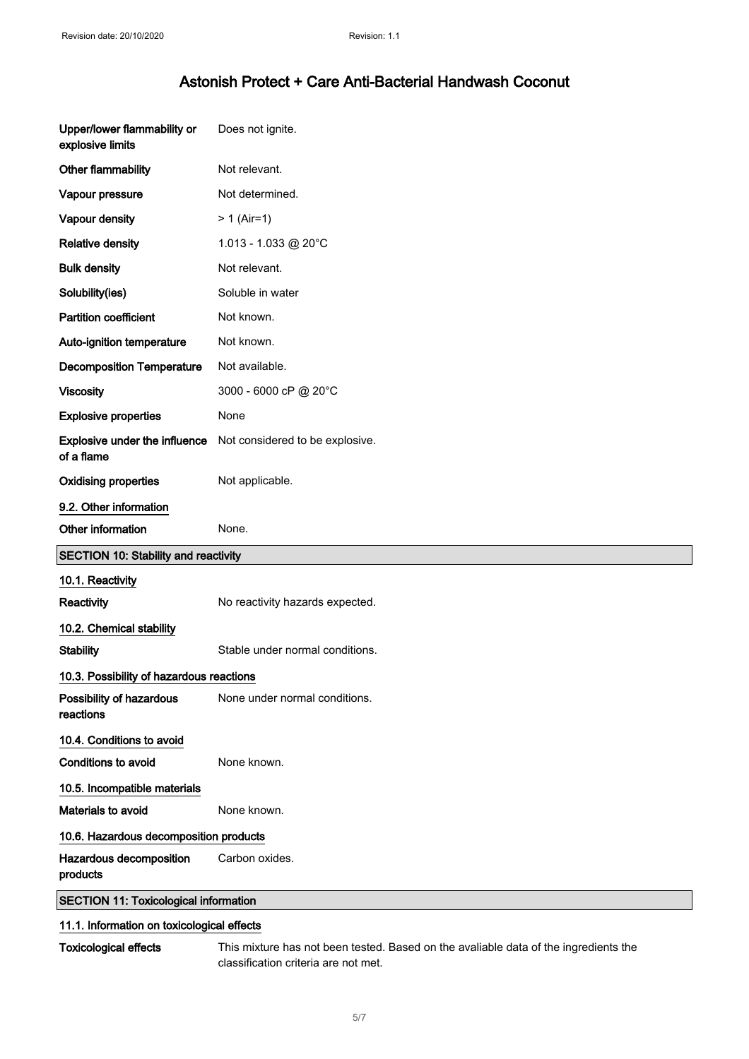| Upper/lower flammability or<br>explosive limits | Does not ignite.                |
|-------------------------------------------------|---------------------------------|
| Other flammability                              | Not relevant.                   |
| Vapour pressure                                 | Not determined.                 |
| Vapour density                                  | $> 1$ (Air=1)                   |
| <b>Relative density</b>                         | 1.013 - 1.033 @ 20°C            |
| <b>Bulk density</b>                             | Not relevant.                   |
| Solubility(ies)                                 | Soluble in water                |
| <b>Partition coefficient</b>                    | Not known.                      |
| Auto-ignition temperature                       | Not known.                      |
| <b>Decomposition Temperature</b>                | Not available.                  |
| <b>Viscosity</b>                                | 3000 - 6000 cP @ 20°C           |
| <b>Explosive properties</b>                     | None                            |
| Explosive under the influence<br>of a flame     | Not considered to be explosive. |
| <b>Oxidising properties</b>                     | Not applicable.                 |
| 9.2. Other information                          |                                 |
|                                                 |                                 |
| Other information                               | None.                           |
| <b>SECTION 10: Stability and reactivity</b>     |                                 |
| 10.1. Reactivity                                |                                 |
| Reactivity                                      | No reactivity hazards expected. |
| 10.2. Chemical stability                        |                                 |
| <b>Stability</b>                                | Stable under normal conditions. |
| 10.3. Possibility of hazardous reactions        |                                 |
| Possibility of hazardous<br>reactions           | None under normal conditions.   |
| 10.4. Conditions to avoid                       |                                 |
| Conditions to avoid                             | None known.                     |
| 10.5. Incompatible materials                    |                                 |
| Materials to avoid                              | None known.                     |
| 10.6. Hazardous decomposition products          |                                 |
| Hazardous decomposition<br>products             | Carbon oxides.                  |

### 11.1. Information on toxicological effects

Toxicological effects This mixture has not been tested. Based on the avaliable data of the ingredients the classification criteria are not met.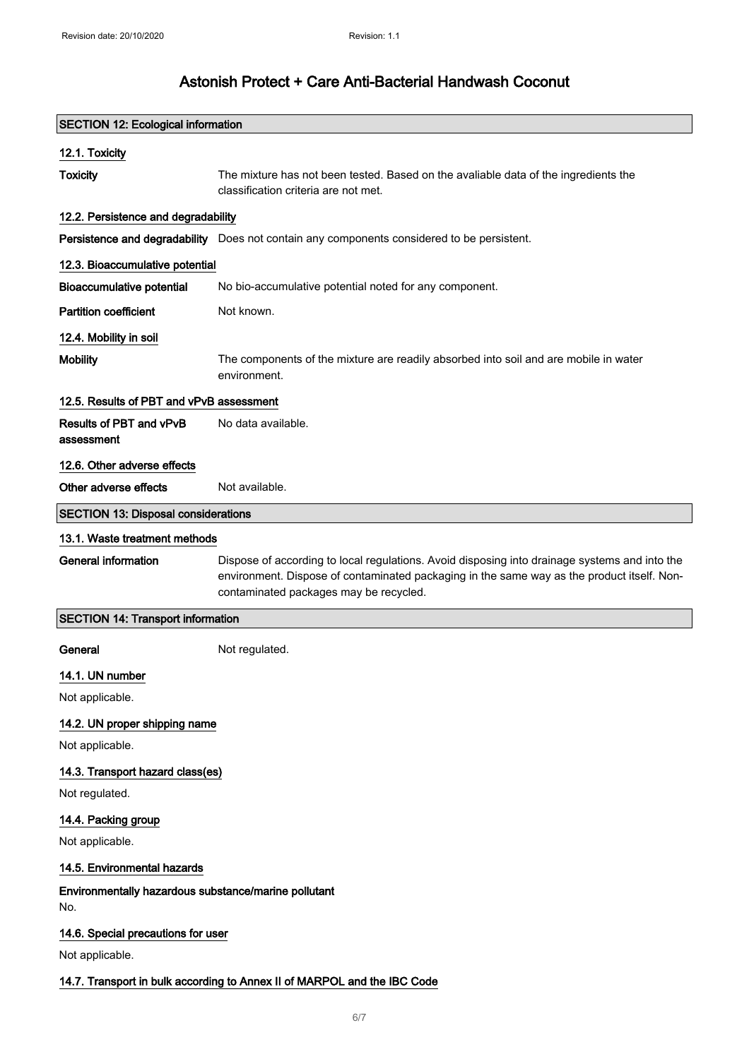| <b>SECTION 12: Ecological information</b>                                |                                                                                                                                                                                                                                       |
|--------------------------------------------------------------------------|---------------------------------------------------------------------------------------------------------------------------------------------------------------------------------------------------------------------------------------|
| 12.1. Toxicity                                                           |                                                                                                                                                                                                                                       |
| <b>Toxicity</b>                                                          | The mixture has not been tested. Based on the avaliable data of the ingredients the<br>classification criteria are not met.                                                                                                           |
| 12.2. Persistence and degradability                                      |                                                                                                                                                                                                                                       |
|                                                                          | Persistence and degradability Does not contain any components considered to be persistent.                                                                                                                                            |
| 12.3. Bioaccumulative potential                                          |                                                                                                                                                                                                                                       |
| <b>Bioaccumulative potential</b>                                         | No bio-accumulative potential noted for any component.                                                                                                                                                                                |
| <b>Partition coefficient</b>                                             | Not known.                                                                                                                                                                                                                            |
| 12.4. Mobility in soil                                                   |                                                                                                                                                                                                                                       |
| <b>Mobility</b>                                                          | The components of the mixture are readily absorbed into soil and are mobile in water<br>environment.                                                                                                                                  |
| 12.5. Results of PBT and vPvB assessment                                 |                                                                                                                                                                                                                                       |
| Results of PBT and vPvB<br>assessment                                    | No data available.                                                                                                                                                                                                                    |
| 12.6. Other adverse effects                                              |                                                                                                                                                                                                                                       |
| Other adverse effects                                                    | Not available.                                                                                                                                                                                                                        |
| <b>SECTION 13: Disposal considerations</b>                               |                                                                                                                                                                                                                                       |
| 13.1. Waste treatment methods                                            |                                                                                                                                                                                                                                       |
| <b>General information</b>                                               | Dispose of according to local regulations. Avoid disposing into drainage systems and into the<br>environment. Dispose of contaminated packaging in the same way as the product itself. Non-<br>contaminated packages may be recycled. |
| <b>SECTION 14: Transport information</b>                                 |                                                                                                                                                                                                                                       |
| General                                                                  | Not regulated.                                                                                                                                                                                                                        |
| 14.1. UN number                                                          |                                                                                                                                                                                                                                       |
| Not applicable.                                                          |                                                                                                                                                                                                                                       |
| 14.2. UN proper shipping name                                            |                                                                                                                                                                                                                                       |
| Not applicable.                                                          |                                                                                                                                                                                                                                       |
| 14.3. Transport hazard class(es)                                         |                                                                                                                                                                                                                                       |
| Not regulated.                                                           |                                                                                                                                                                                                                                       |
| 14.4. Packing group                                                      |                                                                                                                                                                                                                                       |
| Not applicable.                                                          |                                                                                                                                                                                                                                       |
| 14.5. Environmental hazards                                              |                                                                                                                                                                                                                                       |
| Environmentally hazardous substance/marine pollutant<br>No.              |                                                                                                                                                                                                                                       |
| 14.6. Special precautions for user                                       |                                                                                                                                                                                                                                       |
| Not applicable.                                                          |                                                                                                                                                                                                                                       |
| 14.7. Transport in bulk according to Annex II of MARPOL and the IBC Code |                                                                                                                                                                                                                                       |